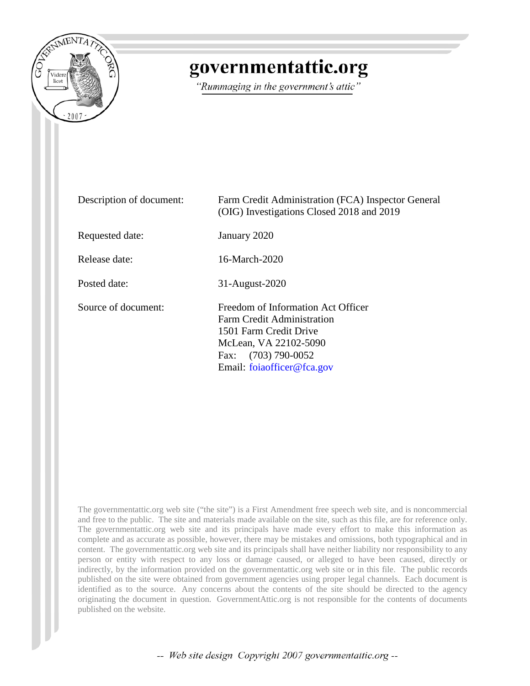

## governmentattic.org

"Rummaging in the government's attic"

| Description of document: | Farm Credit Administration (FCA) Inspector General<br>(OIG) Investigations Closed 2018 and 2019                                                                               |
|--------------------------|-------------------------------------------------------------------------------------------------------------------------------------------------------------------------------|
| Requested date:          | January 2020                                                                                                                                                                  |
| Release date:            | 16-March-2020                                                                                                                                                                 |
| Posted date:             | 31-August-2020                                                                                                                                                                |
| Source of document:      | Freedom of Information Act Officer<br>Farm Credit Administration<br>1501 Farm Credit Drive<br>McLean, VA 22102-5090<br>$(703)$ 790-0052<br>Fax:<br>Email: foiaofficer@fca.gov |

The governmentattic.org web site ("the site") is a First Amendment free speech web site, and is noncommercial and free to the public. The site and materials made available on the site, such as this file, are for reference only. The governmentattic.org web site and its principals have made every effort to make this information as complete and as accurate as possible, however, there may be mistakes and omissions, both typographical and in content. The governmentattic.org web site and its principals shall have neither liability nor responsibility to any person or entity with respect to any loss or damage caused, or alleged to have been caused, directly or indirectly, by the information provided on the governmentattic.org web site or in this file. The public records published on the site were obtained from government agencies using proper legal channels. Each document is identified as to the source. Any concerns about the contents of the site should be directed to the agency originating the document in question. GovernmentAttic.org is not responsible for the contents of documents published on the website.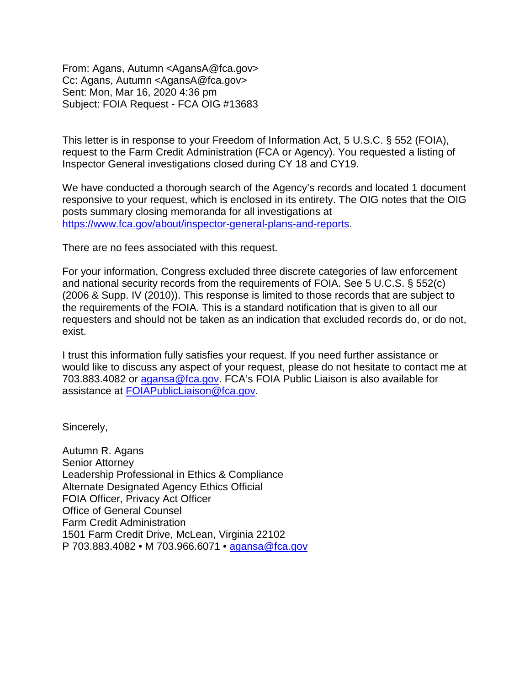From: Agans, Autumn <AgansA@fca.gov> Cc: Agans, Autumn <AgansA@fca.gov> Sent: Mon, Mar 16, 2020 4:36 pm Subject: FOIA Request - FCA OIG #13683

This letter is in response to your Freedom of Information Act, 5 U.S.C. § 552 (FOIA), request to the Farm Credit Administration (FCA or Agency). You requested a listing of Inspector General investigations closed during CY 18 and CY19.

We have conducted a thorough search of the Agency's records and located 1 document responsive to your request, which is enclosed in its entirety. The OIG notes that the OIG posts summary closing memoranda for all investigations at [https://www.fca.gov/about/inspector-general-plans-and-reports.](https://www.fca.gov/about/inspector-general-plans-and-reports)

There are no fees associated with this request.

For your information, Congress excluded three discrete categories of law enforcement and national security records from the requirements of FOIA. See 5 U.C.S. § 552(c) (2006 & Supp. IV (2010)). This response is limited to those records that are subject to the requirements of the FOIA. This is a standard notification that is given to all our requesters and should not be taken as an indication that excluded records do, or do not, exist.

I trust this information fully satisfies your request. If you need further assistance or would like to discuss any aspect of your request, please do not hesitate to contact me at 703.883.4082 or [agansa@fca.gov.](mailto:agansa@fca.gov) FCA's FOIA Public Liaison is also available for assistance at [FOIAPublicLiaison@fca.gov.](mailto:FOIAPublicLiaison@fca.gov)

Sincerely,

Autumn R. Agans Senior Attorney Leadership Professional in Ethics & Compliance Alternate Designated Agency Ethics Official FOIA Officer, Privacy Act Officer Office of General Counsel Farm Credit Administration 1501 Farm Credit Drive, McLean, Virginia 22102 P 703.883.4082 • M 703.966.6071 • [agansa@fca.gov](mailto:agansa@fca.gov)